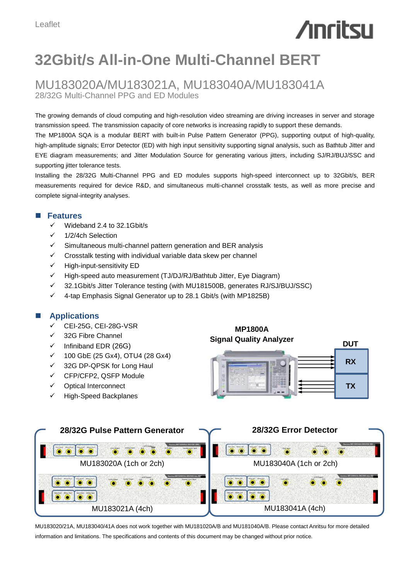# **Anritsu**

# **32Gbit/s All-in-One Multi-Channel BERT**

## MU183020A/MU183021A, MU183040A/MU183041A 28/32G Multi-Channel PPG and ED Modules

The growing demands of cloud computing and high-resolution video streaming are driving increases in server and storage transmission speed. The transmission capacity of core networks is increasing rapidly to support these demands.

The MP1800A SQA is a modular BERT with built-in Pulse Pattern Generator (PPG), supporting output of high-quality, high-amplitude signals; Error Detector (ED) with high input sensitivity supporting signal analysis, such as Bathtub Jitter and EYE diagram measurements; and Jitter Modulation Source for generating various jitters, including SJ/RJ/BUJ/SSC and supporting jitter tolerance tests.

Installing the 28/32G Multi-Channel PPG and ED modules supports high-speed interconnect up to 32Gbit/s, BER measurements required for device R&D, and simultaneous multi-channel crosstalk tests, as well as more precise and complete signal-integrity analyses.

#### **Features**

- $\checkmark$  Wideband 2.4 to 32.1Gbit/s
- $\times$  1/2/4ch Selection
- $\checkmark$  Simultaneous multi-channel pattern generation and BER analysis
- Crosstalk testing with individual variable data skew per channel
- $\checkmark$  High-input-sensitivity ED
- $\checkmark$  High-speed auto measurement (TJ/DJ/RJ/Bathtub Jitter, Eye Diagram)
- 32.1Gbit/s Jitter Tolerance testing (with MU181500B, generates RJ/SJ/BUJ/SSC)
- $\checkmark$  4-tap Emphasis Signal Generator up to 28.1 Gbit/s (with MP1825B)

#### **Applications**

- CEI-25G, CEI-28G-VSR
- $\checkmark$  32G Fibre Channel
- $\checkmark$  Infiniband EDR (26G)
- 100 GbE (25 Gx4), OTU4 (28 Gx4)
- 32G DP-QPSK for Long Haul
- CFP/CFP2, QSFP Module
- Optical Interconnect
- $\checkmark$  High-Speed Backplanes





MU183020/21A, MU183040/41A does not work together with MU181020A/B and MU181040A/B. Please contact Anritsu for more detailed information and limitations. The specifications and contents of this document may be changed without prior notice.